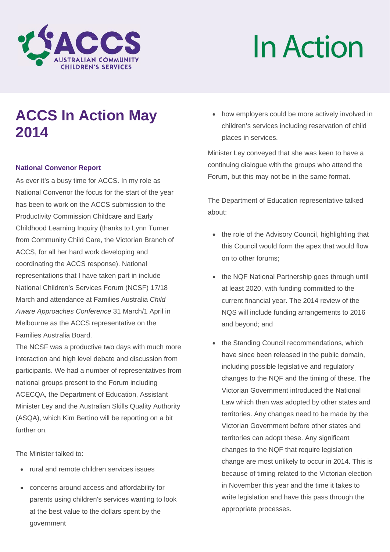

# In Action

# **ACCS In Action May 2014**

#### **National Convenor Report**

As ever it's a busy time for ACCS. In my role as National Convenor the focus for the start of the year has been to work on the ACCS submission to the Productivity Commission Childcare and Early Childhood Learning Inquiry (thanks to Lynn Turner from Community Child Care, the Victorian Branch of ACCS, for all her hard work developing and coordinating the ACCS response). National representations that I have taken part in include National Children's Services Forum (NCSF) 17/18 March and attendance at Families Australia *Child Aware Approaches Conference* 31 March/1 April in Melbourne as the ACCS representative on the Families Australia Board.

The NCSF was a productive two days with much more interaction and high level debate and discussion from participants. We had a number of representatives from national groups present to the Forum including ACECQA, the Department of Education, Assistant Minister Ley and the Australian Skills Quality Authority (ASQA), which Kim Bertino will be reporting on a bit further on.

The Minister talked to:

- rural and remote children services issues
- concerns around access and affordability for parents using children's services wanting to look at the best value to the dollars spent by the government

• how employers could be more actively involved in children's services including reservation of child places in services.

Minister Ley conveyed that she was keen to have a continuing dialogue with the groups who attend the Forum, but this may not be in the same format.

The Department of Education representative talked about:

- the role of the Advisory Council, highlighting that this Council would form the apex that would flow on to other forums;
- the NQF National Partnership goes through until at least 2020, with funding committed to the current financial year. The 2014 review of the NQS will include funding arrangements to 2016 and beyond; and
- the Standing Council recommendations, which have since been released in the public domain, including possible legislative and regulatory changes to the NQF and the timing of these. The Victorian Government introduced the National Law which then was adopted by other states and territories. Any changes need to be made by the Victorian Government before other states and territories can adopt these. Any significant changes to the NQF that require legislation change are most unlikely to occur in 2014. This is because of timing related to the Victorian election in November this year and the time it takes to write legislation and have this pass through the appropriate processes.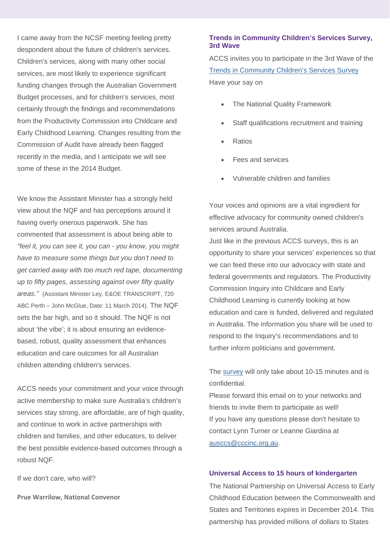I came away from the NCSF meeting feeling pretty despondent about the future of children's services. Children's services, along with many other social services, are most likely to experience significant funding changes through the Australian Government Budget processes, and for children's services, most certainly through the findings and recommendations from the Productivity Commission into Childcare and Early Childhood Learning. Changes resulting from the Commission of Audit have already been flagged recently in the media, and I anticipate we will see some of these in the 2014 Budget.

We know the Assistant Minister has a strongly held view about the NQF and has perceptions around it having overly onerous paperwork. She has commented that assessment is about being able to *"feel it, you can see it, you can - you know, you might have to measure some things but you don't need to get carried away with too much red tape, documenting up to fifty pages, assessing against over fifty quality areas."* (Assistant Minister Ley, E&OE TRANSCRIPT, 720 ABC Perth – John McGlue, Date: 11 March 2014). The NQF sets the bar high, and so it should. The NQF is not about 'the vibe'; it is about ensuring an evidencebased, robust, quality assessment that enhances education and care outcomes for all Australian children attending children's services.

ACCS needs your commitment and your voice through active membership to make sure Australia's children's services stay strong, are affordable, are of high quality, and continue to work in active partnerships with children and families, and other educators, to deliver the best possible evidence-based outcomes through a robust NQF.

If we don't care, who will?

**Prue Warrilow, National Convenor** 

#### **Trends in Community Children's Services Survey, 3rd Wave**

ACCS invites you to participate in the 3rd Wave of the Trends in Community Children's Services Survey Have your say on

- The National Quality Framework
- Staff qualifications recruitment and training
- **Ratios**
- Fees and services
- x Vulnerable children and families

Your voices and opinions are a vital ingredient for effective advocacy for community owned children's services around Australia.

Just like in the previous ACCS surveys, this is an opportunity to share your services' experiences so that we can feed these into our advocacy with state and federal governments and regulators. The Productivity Commission Inquiry into Childcare and Early Childhood Learning is currently looking at how education and care is funded, delivered and regulated in Australia. The information you share will be used to respond to the Inquiry's recommendations and to further inform politicians and government.

The survey will only take about 10-15 minutes and is confidential.

Please forward this email on to your networks and friends to invite them to participate as well! If you have any questions please don't hesitate to contact Lynn Turner or Leanne Giardina at ausccs@cccinc.org.au.

#### **Universal Access to 15 hours of kindergarten**

The National Partnership on Universal Access to Early Childhood Education between the Commonwealth and States and Territories expires in December 2014. This partnership has provided millions of dollars to States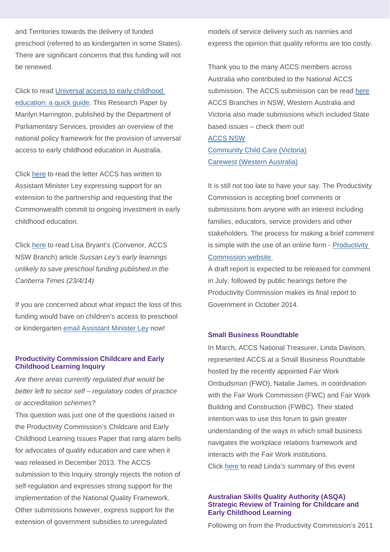and Territories towards the delivery of funded preschool (referred to as kindergarten in some States). There are significant concerns that this funding will not be renewed.

Click to read Universal access to early childhood education: a quick guide. This Research Paper by Marilyn Harrington, published by the Department of Parliamentary Services, provides an overview of the national policy framework for the provision of universal access to early childhood education in Australia.

Click here to read the letter ACCS has written to Assistant Minister Ley expressing support for an extension to the partnership and requesting that the Commonwealth commit to ongoing investment in early childhood education.

Click here to read Lisa Bryant's (Convenor, ACCS NSW Branch) article *Sussan Ley's early learnings unlikely to save preschool funding published in the Canberra Times (23/4/14)*

If you are concerned about what impact the loss of this funding would have on children's access to preschool or kindergarten email Assistant Minister Ley now!

#### **Productivity Commission Childcare and Early Childhood Learning Inquiry**

*Are there areas currently regulated that would be better left to sector self – regulatory codes of practice or accreditation schemes?*

This question was just one of the questions raised in the Productivity Commission's Childcare and Early Childhood Learning Issues Paper that rang alarm bells for advocates of quality education and care when it was released in December 2013. The ACCS submission to this Inquiry strongly rejects the notion of self-regulation and expresses strong support for the implementation of the National Quality Framework. Other submissions however, express support for the extension of government subsidies to unregulated

models of service delivery such as nannies and express the opinion that quality reforms are too costly.

Thank you to the many ACCS members across Australia who contributed to the National ACCS submission. The ACCS submission can be read here ACCS Branches in NSW, Western Australia and Victoria also made submissions which included State based issues – check them out! ACCS NSW Community Child Care (Victoria)

Carewest (Western Australia)

It is still not too late to have your say. The Productivity Commission is accepting brief comments or submissions from anyone with an interest including families, educators, service providers and other stakeholders. The process for making a brief comment is simple with the use of an online form - Productivity Commission website

A draft report is expected to be released for comment in July, followed by public hearings before the Productivity Commission makes its final report to Government in October 2014.

#### **Small Business Roundtable**

In March, ACCS National Treasurer, Linda Davison, represented ACCS at a Small Business Roundtable hosted by the recently appointed Fair Work Ombudsman (FWO), Natalie James, in coordination with the Fair Work Commission (FWC) and Fair Work Building and Construction (FWBC). Their stated intention was to use this forum to gain greater understanding of the ways in which small business navigates the workplace relations framework and interacts with the Fair Work institutions. Click here to read Linda's summary of this event

#### **Australian Skills Quality Authority (ASQA) Strategic Review of Training for Childcare and Early Childhood Learning**

Following on from the Productivity Commission's 2011